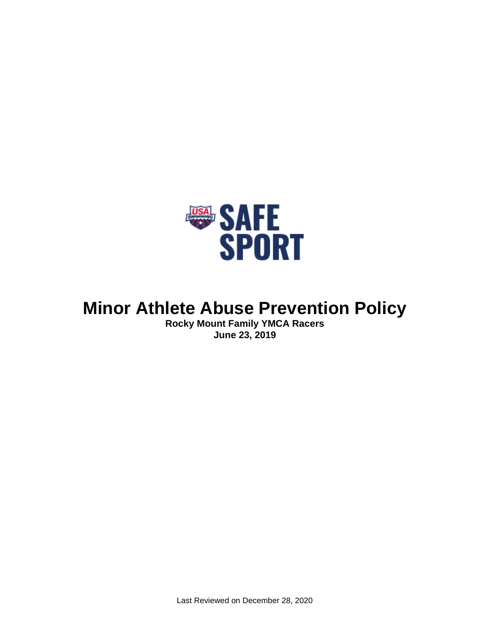

# **Minor Athlete Abuse Prevention Policy**

**Rocky Mount Family YMCA Racers June 23, 2019**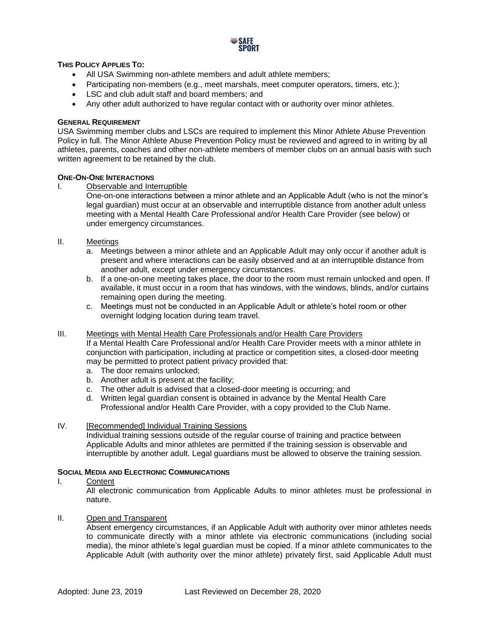

## **THIS POLICY APPLIES TO:**

- All USA Swimming non-athlete members and adult athlete members;
- Participating non-members (e.g., meet marshals, meet computer operators, timers, etc.);
- LSC and club adult staff and board members; and
- Any other adult authorized to have regular contact with or authority over minor athletes.

#### **GENERAL REQUIREMENT**

USA Swimming member clubs and LSCs are required to implement this Minor Athlete Abuse Prevention Policy in full. The Minor Athlete Abuse Prevention Policy must be reviewed and agreed to in writing by all athletes, parents, coaches and other non-athlete members of member clubs on an annual basis with such written agreement to be retained by the club.

#### **ONE-ON-ONE INTERACTIONS**

I. Observable and Interruptible

One-on-one interactions between a minor athlete and an Applicable Adult (who is not the minor's legal guardian) must occur at an observable and interruptible distance from another adult unless meeting with a Mental Health Care Professional and/or Health Care Provider (see below) or under emergency circumstances.

- II. Meetings
	- a. Meetings between a minor athlete and an Applicable Adult may only occur if another adult is present and where interactions can be easily observed and at an interruptible distance from another adult, except under emergency circumstances.
	- b. If a one-on-one meeting takes place, the door to the room must remain unlocked and open. If available, it must occur in a room that has windows, with the windows, blinds, and/or curtains remaining open during the meeting.
	- c. Meetings must not be conducted in an Applicable Adult or athlete's hotel room or other overnight lodging location during team travel.

#### III. Meetings with Mental Health Care Professionals and/or Health Care Providers

If a Mental Health Care Professional and/or Health Care Provider meets with a minor athlete in conjunction with participation, including at practice or competition sites, a closed-door meeting may be permitted to protect patient privacy provided that:

- a. The door remains unlocked;
- b. Another adult is present at the facility;
- c. The other adult is advised that a closed-door meeting is occurring; and
- d. Written legal guardian consent is obtained in advance by the Mental Health Care Professional and/or Health Care Provider, with a copy provided to the Club Name.
- IV. [Recommended] Individual Training Sessions

Individual training sessions outside of the regular course of training and practice between Applicable Adults and minor athletes are permitted if the training session is observable and interruptible by another adult. Legal guardians must be allowed to observe the training session.

#### **SOCIAL MEDIA AND ELECTRONIC COMMUNICATIONS**

I. Content

All electronic communication from Applicable Adults to minor athletes must be professional in nature.

II. Open and Transparent

Absent emergency circumstances, if an Applicable Adult with authority over minor athletes needs to communicate directly with a minor athlete via electronic communications (including social media), the minor athlete's legal guardian must be copied. If a minor athlete communicates to the Applicable Adult (with authority over the minor athlete) privately first, said Applicable Adult must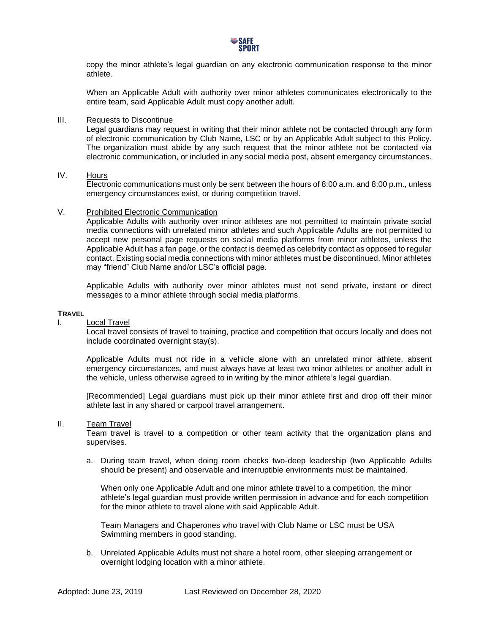

copy the minor athlete's legal guardian on any electronic communication response to the minor athlete.

When an Applicable Adult with authority over minor athletes communicates electronically to the entire team, said Applicable Adult must copy another adult.

#### III. Requests to Discontinue

Legal guardians may request in writing that their minor athlete not be contacted through any form of electronic communication by Club Name, LSC or by an Applicable Adult subject to this Policy. The organization must abide by any such request that the minor athlete not be contacted via electronic communication, or included in any social media post, absent emergency circumstances.

## IV. Hours

Electronic communications must only be sent between the hours of 8:00 a.m. and 8:00 p.m., unless emergency circumstances exist, or during competition travel.

#### V. Prohibited Electronic Communication

Applicable Adults with authority over minor athletes are not permitted to maintain private social media connections with unrelated minor athletes and such Applicable Adults are not permitted to accept new personal page requests on social media platforms from minor athletes, unless the Applicable Adult has a fan page, or the contact is deemed as celebrity contact as opposed to regular contact. Existing social media connections with minor athletes must be discontinued. Minor athletes may "friend" Club Name and/or LSC's official page.

Applicable Adults with authority over minor athletes must not send private, instant or direct messages to a minor athlete through social media platforms.

#### **TRAVEL**

#### I. Local Travel

Local travel consists of travel to training, practice and competition that occurs locally and does not include coordinated overnight stay(s).

Applicable Adults must not ride in a vehicle alone with an unrelated minor athlete, absent emergency circumstances, and must always have at least two minor athletes or another adult in the vehicle, unless otherwise agreed to in writing by the minor athlete's legal guardian.

[Recommended] Legal guardians must pick up their minor athlete first and drop off their minor athlete last in any shared or carpool travel arrangement.

### II. Team Travel

Team travel is travel to a competition or other team activity that the organization plans and supervises.

a. During team travel, when doing room checks two-deep leadership (two Applicable Adults should be present) and observable and interruptible environments must be maintained.

When only one Applicable Adult and one minor athlete travel to a competition, the minor athlete's legal guardian must provide written permission in advance and for each competition for the minor athlete to travel alone with said Applicable Adult.

Team Managers and Chaperones who travel with Club Name or LSC must be USA Swimming members in good standing.

b. Unrelated Applicable Adults must not share a hotel room, other sleeping arrangement or overnight lodging location with a minor athlete.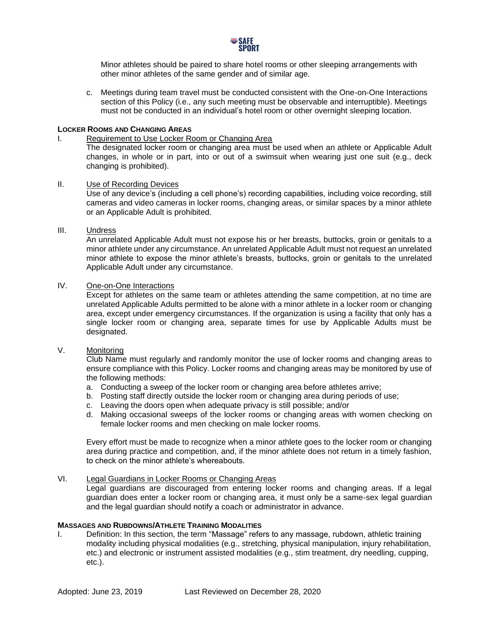

Minor athletes should be paired to share hotel rooms or other sleeping arrangements with other minor athletes of the same gender and of similar age.

c. Meetings during team travel must be conducted consistent with the One-on-One Interactions section of this Policy (i.e., any such meeting must be observable and interruptible). Meetings must not be conducted in an individual's hotel room or other overnight sleeping location.

#### **LOCKER ROOMS AND CHANGING AREAS**

#### I. Requirement to Use Locker Room or Changing Area

The designated locker room or changing area must be used when an athlete or Applicable Adult changes, in whole or in part, into or out of a swimsuit when wearing just one suit (e.g., deck changing is prohibited).

#### II. Use of Recording Devices

Use of any device's (including a cell phone's) recording capabilities, including voice recording, still cameras and video cameras in locker rooms, changing areas, or similar spaces by a minor athlete or an Applicable Adult is prohibited.

#### III. Undress

An unrelated Applicable Adult must not expose his or her breasts, buttocks, groin or genitals to a minor athlete under any circumstance. An unrelated Applicable Adult must not request an unrelated minor athlete to expose the minor athlete's breasts, buttocks, groin or genitals to the unrelated Applicable Adult under any circumstance.

# IV. One-on-One Interactions

Except for athletes on the same team or athletes attending the same competition, at no time are unrelated Applicable Adults permitted to be alone with a minor athlete in a locker room or changing area, except under emergency circumstances. If the organization is using a facility that only has a single locker room or changing area, separate times for use by Applicable Adults must be designated.

# V. Monitoring

Club Name must regularly and randomly monitor the use of locker rooms and changing areas to ensure compliance with this Policy. Locker rooms and changing areas may be monitored by use of the following methods:

- a. Conducting a sweep of the locker room or changing area before athletes arrive;
- b. Posting staff directly outside the locker room or changing area during periods of use;
- c. Leaving the doors open when adequate privacy is still possible; and/or
- d. Making occasional sweeps of the locker rooms or changing areas with women checking on female locker rooms and men checking on male locker rooms.

Every effort must be made to recognize when a minor athlete goes to the locker room or changing area during practice and competition, and, if the minor athlete does not return in a timely fashion, to check on the minor athlete's whereabouts.

#### VI. Legal Guardians in Locker Rooms or Changing Areas

Legal guardians are discouraged from entering locker rooms and changing areas. If a legal guardian does enter a locker room or changing area, it must only be a same-sex legal guardian and the legal guardian should notify a coach or administrator in advance.

## **MASSAGES AND RUBDOWNS/ATHLETE TRAINING MODALITIES**

I. Definition: In this section, the term "Massage" refers to any massage, rubdown, athletic training modality including physical modalities (e.g., stretching, physical manipulation, injury rehabilitation, etc.) and electronic or instrument assisted modalities (e.g., stim treatment, dry needling, cupping, etc.).